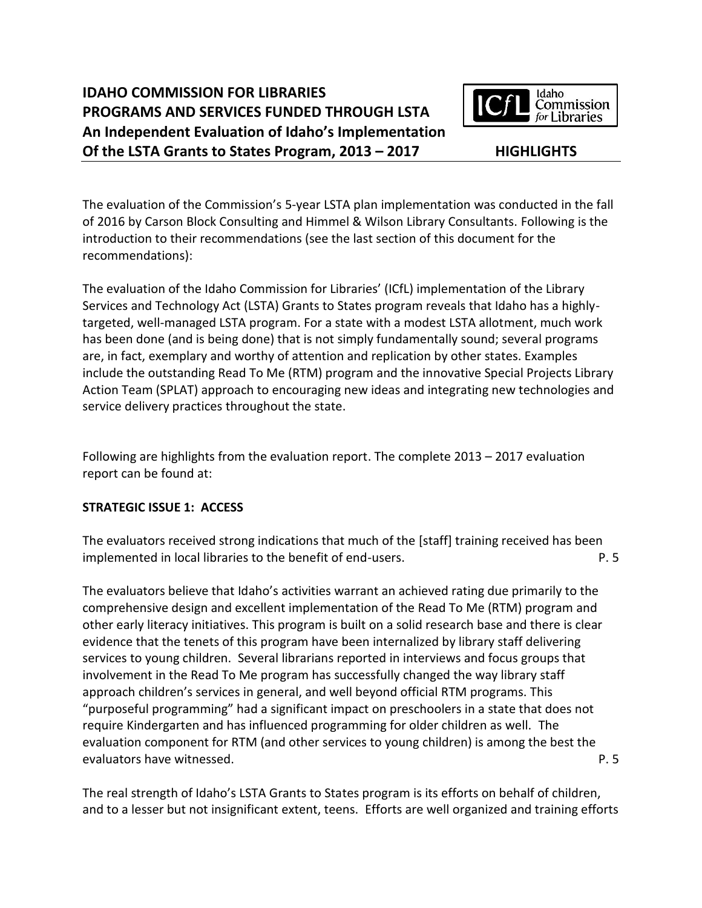# **IDAHO COMMISSION FOR LIBRARIES PROGRAMS AND SERVICES FUNDED THROUGH LSTA An Independent Evaluation of Idaho's Implementation Of the LSTA Grants to States Program, 2013 – 2017 HIGHLIGHTS**



The evaluation of the Commission's 5-year LSTA plan implementation was conducted in the fall of 2016 by Carson Block Consulting and Himmel & Wilson Library Consultants. Following is the introduction to their recommendations (see the last section of this document for the recommendations):

The evaluation of the Idaho Commission for Libraries' (ICfL) implementation of the Library Services and Technology Act (LSTA) Grants to States program reveals that Idaho has a highlytargeted, well-managed LSTA program. For a state with a modest LSTA allotment, much work has been done (and is being done) that is not simply fundamentally sound; several programs are, in fact, exemplary and worthy of attention and replication by other states. Examples include the outstanding Read To Me (RTM) program and the innovative Special Projects Library Action Team (SPLAT) approach to encouraging new ideas and integrating new technologies and service delivery practices throughout the state.

Following are highlights from the evaluation report. The complete 2013 – 2017 evaluation report can be found at:

# **STRATEGIC ISSUE 1: ACCESS**

The evaluators received strong indications that much of the [staff] training received has been implemented in local libraries to the benefit of end-users. P. 5

The evaluators believe that Idaho's activities warrant an achieved rating due primarily to the comprehensive design and excellent implementation of the Read To Me (RTM) program and other early literacy initiatives. This program is built on a solid research base and there is clear evidence that the tenets of this program have been internalized by library staff delivering services to young children. Several librarians reported in interviews and focus groups that involvement in the Read To Me program has successfully changed the way library staff approach children's services in general, and well beyond official RTM programs. This "purposeful programming" had a significant impact on preschoolers in a state that does not require Kindergarten and has influenced programming for older children as well. The evaluation component for RTM (and other services to young children) is among the best the evaluators have witnessed. The evaluators have witnessed.

The real strength of Idaho's LSTA Grants to States program is its efforts on behalf of children, and to a lesser but not insignificant extent, teens. Efforts are well organized and training efforts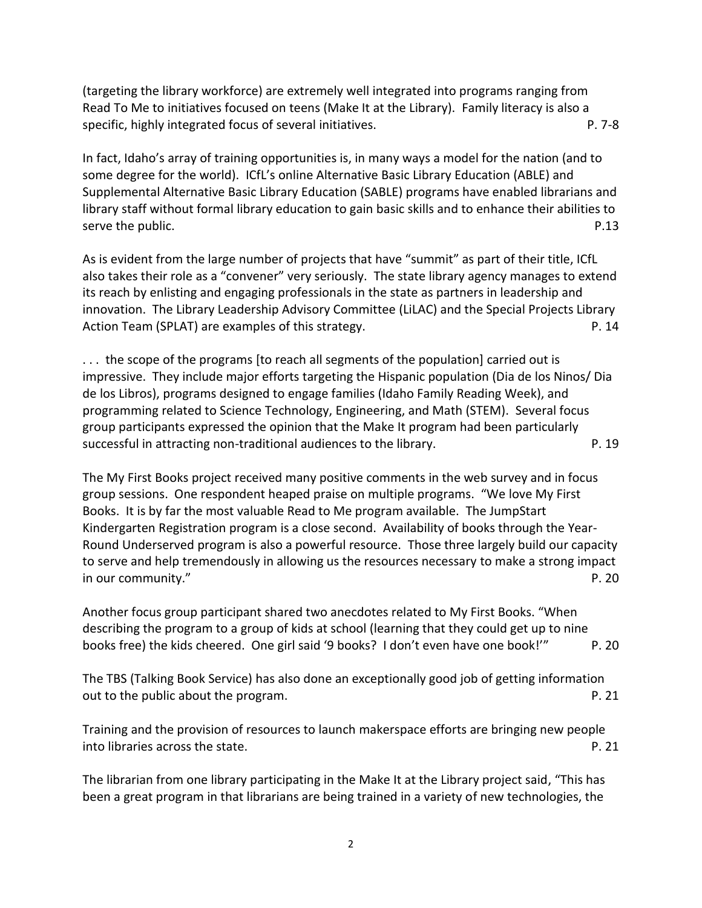(targeting the library workforce) are extremely well integrated into programs ranging from Read To Me to initiatives focused on teens (Make It at the Library). Family literacy is also a specific, highly integrated focus of several initiatives. The process of the process of  $P. 7-8$ 

In fact, Idaho's array of training opportunities is, in many ways a model for the nation (and to some degree for the world). ICfL's online Alternative Basic Library Education (ABLE) and Supplemental Alternative Basic Library Education (SABLE) programs have enabled librarians and library staff without formal library education to gain basic skills and to enhance their abilities to serve the public. P.13

As is evident from the large number of projects that have "summit" as part of their title, ICfL also takes their role as a "convener" very seriously. The state library agency manages to extend its reach by enlisting and engaging professionals in the state as partners in leadership and innovation. The Library Leadership Advisory Committee (LiLAC) and the Special Projects Library Action Team (SPLAT) are examples of this strategy. The example of the strategy and the example of the example of this strategy.

. . . the scope of the programs [to reach all segments of the population] carried out is impressive. They include major efforts targeting the Hispanic population (Dia de los Ninos/ Dia de los Libros), programs designed to engage families (Idaho Family Reading Week), and programming related to Science Technology, Engineering, and Math (STEM). Several focus group participants expressed the opinion that the Make It program had been particularly successful in attracting non-traditional audiences to the library. P. 19

The My First Books project received many positive comments in the web survey and in focus group sessions. One respondent heaped praise on multiple programs. "We love My First Books. It is by far the most valuable Read to Me program available. The JumpStart Kindergarten Registration program is a close second. Availability of books through the Year-Round Underserved program is also a powerful resource. Those three largely build our capacity to serve and help tremendously in allowing us the resources necessary to make a strong impact in our community." P. 20

Another focus group participant shared two anecdotes related to My First Books. "When describing the program to a group of kids at school (learning that they could get up to nine books free) the kids cheered. One girl said '9 books? I don't even have one book!'" P. 20

The TBS (Talking Book Service) has also done an exceptionally good job of getting information out to the public about the program. **P. 21** and the program.

Training and the provision of resources to launch makerspace efforts are bringing new people into libraries across the state. **P. 21** and  $P$ , 21

The librarian from one library participating in the Make It at the Library project said, "This has been a great program in that librarians are being trained in a variety of new technologies, the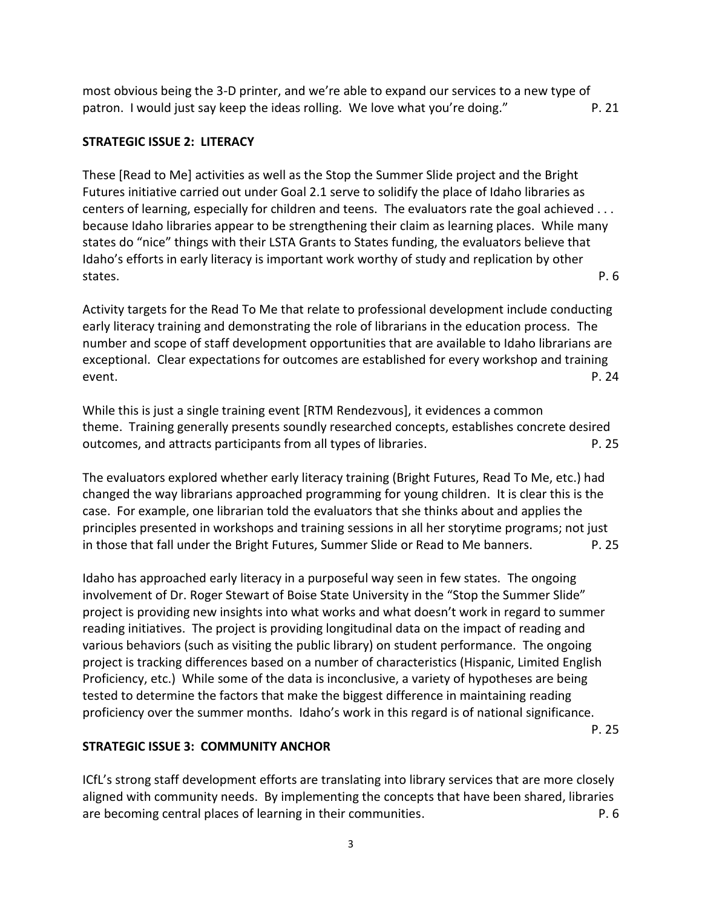most obvious being the 3-D printer, and we're able to expand our services to a new type of patron. I would just say keep the ideas rolling. We love what you're doing." P. 21

# **STRATEGIC ISSUE 2: LITERACY**

These [Read to Me] activities as well as the Stop the Summer Slide project and the Bright Futures initiative carried out under Goal 2.1 serve to solidify the place of Idaho libraries as centers of learning, especially for children and teens. The evaluators rate the goal achieved . . . because Idaho libraries appear to be strengthening their claim as learning places. While many states do "nice" things with their LSTA Grants to States funding, the evaluators believe that Idaho's efforts in early literacy is important work worthy of study and replication by other states. P. 6

Activity targets for the Read To Me that relate to professional development include conducting early literacy training and demonstrating the role of librarians in the education process. The number and scope of staff development opportunities that are available to Idaho librarians are exceptional. Clear expectations for outcomes are established for every workshop and training event. P. 24

While this is just a single training event [RTM Rendezvous], it evidences a common theme. Training generally presents soundly researched concepts, establishes concrete desired outcomes, and attracts participants from all types of libraries. P. 25

The evaluators explored whether early literacy training (Bright Futures, Read To Me, etc.) had changed the way librarians approached programming for young children. It is clear this is the case. For example, one librarian told the evaluators that she thinks about and applies the principles presented in workshops and training sessions in all her storytime programs; not just in those that fall under the Bright Futures, Summer Slide or Read to Me banners. P. 25

Idaho has approached early literacy in a purposeful way seen in few states. The ongoing involvement of Dr. Roger Stewart of Boise State University in the "Stop the Summer Slide" project is providing new insights into what works and what doesn't work in regard to summer reading initiatives. The project is providing longitudinal data on the impact of reading and various behaviors (such as visiting the public library) on student performance. The ongoing project is tracking differences based on a number of characteristics (Hispanic, Limited English Proficiency, etc.) While some of the data is inconclusive, a variety of hypotheses are being tested to determine the factors that make the biggest difference in maintaining reading proficiency over the summer months. Idaho's work in this regard is of national significance.

P. 25

## **STRATEGIC ISSUE 3: COMMUNITY ANCHOR**

ICfL's strong staff development efforts are translating into library services that are more closely aligned with community needs. By implementing the concepts that have been shared, libraries are becoming central places of learning in their communities. P. 6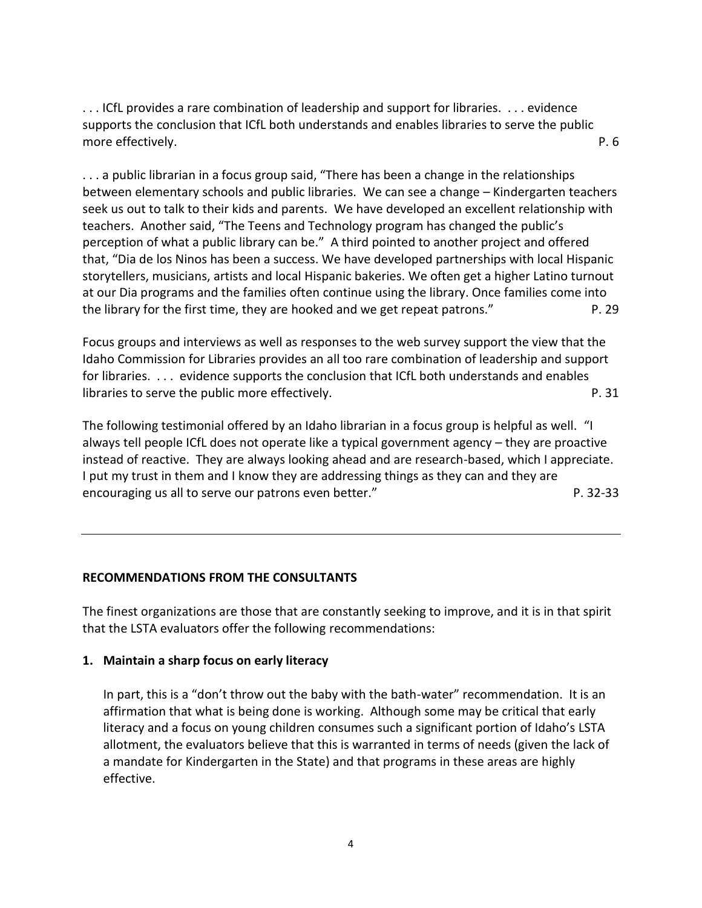. . . ICfL provides a rare combination of leadership and support for libraries. . . . evidence supports the conclusion that ICfL both understands and enables libraries to serve the public more effectively. The contract of the contract of the contract of the contract of the contract of the contract of the contract of the contract of the contract of the contract of the contract of the contract of the contract

. . . a public librarian in a focus group said, "There has been a change in the relationships between elementary schools and public libraries. We can see a change – Kindergarten teachers seek us out to talk to their kids and parents. We have developed an excellent relationship with teachers. Another said, "The Teens and Technology program has changed the public's perception of what a public library can be." A third pointed to another project and offered that, "Dia de los Ninos has been a success. We have developed partnerships with local Hispanic storytellers, musicians, artists and local Hispanic bakeries. We often get a higher Latino turnout at our Dia programs and the families often continue using the library. Once families come into the library for the first time, they are hooked and we get repeat patrons." P. 29

Focus groups and interviews as well as responses to the web survey support the view that the Idaho Commission for Libraries provides an all too rare combination of leadership and support for libraries. . . . evidence supports the conclusion that ICfL both understands and enables libraries to serve the public more effectively. P. 31

The following testimonial offered by an Idaho librarian in a focus group is helpful as well. "I always tell people ICfL does not operate like a typical government agency – they are proactive instead of reactive. They are always looking ahead and are research-based, which I appreciate. I put my trust in them and I know they are addressing things as they can and they are encouraging us all to serve our patrons even better." The contract of the server of the server of the server of the server of the server of the server of the server of the server of the server of the server of the server o

## **RECOMMENDATIONS FROM THE CONSULTANTS**

The finest organizations are those that are constantly seeking to improve, and it is in that spirit that the LSTA evaluators offer the following recommendations:

#### **1. Maintain a sharp focus on early literacy**

In part, this is a "don't throw out the baby with the bath-water" recommendation. It is an affirmation that what is being done is working. Although some may be critical that early literacy and a focus on young children consumes such a significant portion of Idaho's LSTA allotment, the evaluators believe that this is warranted in terms of needs (given the lack of a mandate for Kindergarten in the State) and that programs in these areas are highly effective.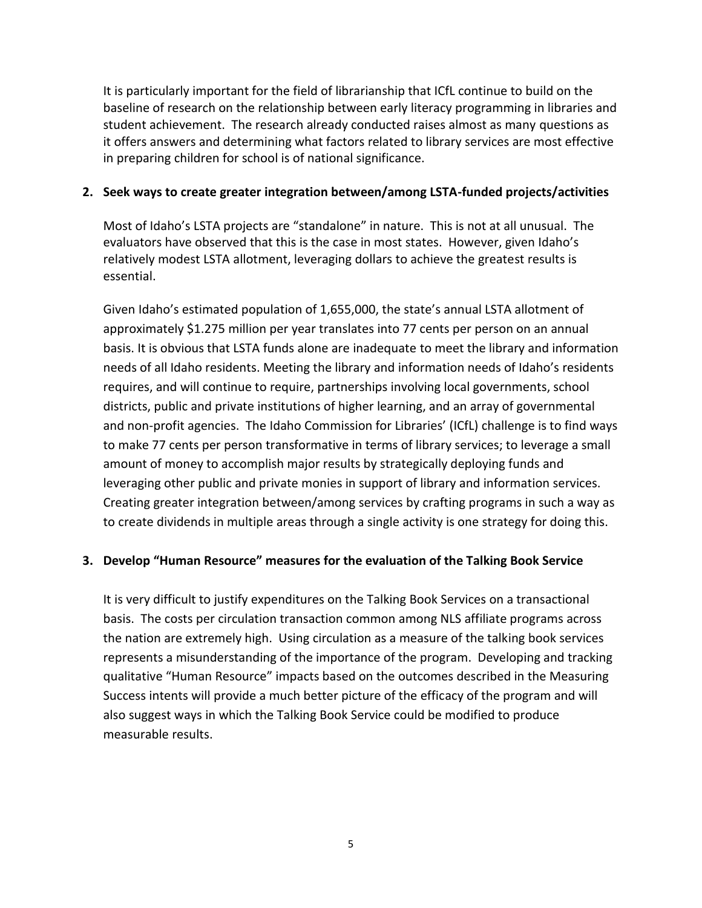It is particularly important for the field of librarianship that ICfL continue to build on the baseline of research on the relationship between early literacy programming in libraries and student achievement. The research already conducted raises almost as many questions as it offers answers and determining what factors related to library services are most effective in preparing children for school is of national significance.

# **2. Seek ways to create greater integration between/among LSTA-funded projects/activities**

Most of Idaho's LSTA projects are "standalone" in nature. This is not at all unusual. The evaluators have observed that this is the case in most states. However, given Idaho's relatively modest LSTA allotment, leveraging dollars to achieve the greatest results is essential.

Given Idaho's estimated population of 1,655,000, the state's annual LSTA allotment of approximately \$1.275 million per year translates into 77 cents per person on an annual basis. It is obvious that LSTA funds alone are inadequate to meet the library and information needs of all Idaho residents. Meeting the library and information needs of Idaho's residents requires, and will continue to require, partnerships involving local governments, school districts, public and private institutions of higher learning, and an array of governmental and non-profit agencies. The Idaho Commission for Libraries' (ICfL) challenge is to find ways to make 77 cents per person transformative in terms of library services; to leverage a small amount of money to accomplish major results by strategically deploying funds and leveraging other public and private monies in support of library and information services. Creating greater integration between/among services by crafting programs in such a way as to create dividends in multiple areas through a single activity is one strategy for doing this.

# **3. Develop "Human Resource" measures for the evaluation of the Talking Book Service**

It is very difficult to justify expenditures on the Talking Book Services on a transactional basis. The costs per circulation transaction common among NLS affiliate programs across the nation are extremely high. Using circulation as a measure of the talking book services represents a misunderstanding of the importance of the program. Developing and tracking qualitative "Human Resource" impacts based on the outcomes described in the Measuring Success intents will provide a much better picture of the efficacy of the program and will also suggest ways in which the Talking Book Service could be modified to produce measurable results.